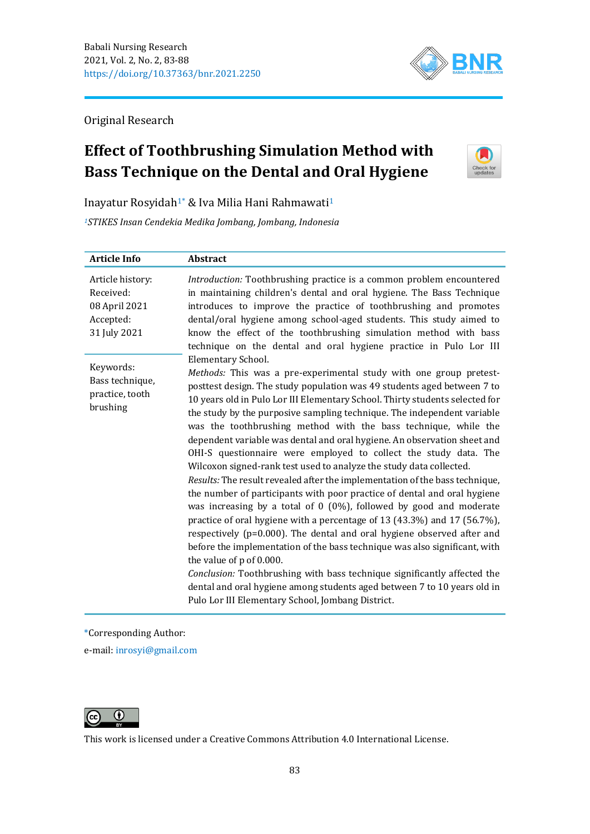

Original Research

# **Effect of Toothbrushing Simulation Method with Bass Technique on the Dental and Oral Hygiene**



Inayatur Rosyidah1\* & Iva Milia Hani Rahmawati<sup>1</sup>

*<sup>1</sup>STIKES Insan Cendekia Medika Jombang, Jombang, Indonesia*

| <b>Article Info</b>                                                         | Abstract                                                                                                                                                                                                                                                                                                                                                                                                                                                                                                                                                                                                                                                                                                                                                                                                                                                                                                                                                                                                                                                                                                                                                                                                                                                                                                                                         |
|-----------------------------------------------------------------------------|--------------------------------------------------------------------------------------------------------------------------------------------------------------------------------------------------------------------------------------------------------------------------------------------------------------------------------------------------------------------------------------------------------------------------------------------------------------------------------------------------------------------------------------------------------------------------------------------------------------------------------------------------------------------------------------------------------------------------------------------------------------------------------------------------------------------------------------------------------------------------------------------------------------------------------------------------------------------------------------------------------------------------------------------------------------------------------------------------------------------------------------------------------------------------------------------------------------------------------------------------------------------------------------------------------------------------------------------------|
| Article history:<br>Received:<br>08 April 2021<br>Accepted:<br>31 July 2021 | Introduction: Toothbrushing practice is a common problem encountered<br>in maintaining children's dental and oral hygiene. The Bass Technique<br>introduces to improve the practice of toothbrushing and promotes<br>dental/oral hygiene among school-aged students. This study aimed to<br>know the effect of the toothbrushing simulation method with bass<br>technique on the dental and oral hygiene practice in Pulo Lor III                                                                                                                                                                                                                                                                                                                                                                                                                                                                                                                                                                                                                                                                                                                                                                                                                                                                                                                |
| Keywords:<br>Bass technique,<br>practice, tooth<br>brushing                 | <b>Elementary School.</b><br>Methods: This was a pre-experimental study with one group pretest-<br>posttest design. The study population was 49 students aged between 7 to<br>10 years old in Pulo Lor III Elementary School. Thirty students selected for<br>the study by the purposive sampling technique. The independent variable<br>was the toothbrushing method with the bass technique, while the<br>dependent variable was dental and oral hygiene. An observation sheet and<br>OHI-S questionnaire were employed to collect the study data. The<br>Wilcoxon signed-rank test used to analyze the study data collected.<br>Results: The result revealed after the implementation of the bass technique,<br>the number of participants with poor practice of dental and oral hygiene<br>was increasing by a total of $0$ (0%), followed by good and moderate<br>practice of oral hygiene with a percentage of 13 (43.3%) and 17 (56.7%),<br>respectively (p=0.000). The dental and oral hygiene observed after and<br>before the implementation of the bass technique was also significant, with<br>the value of p of 0.000.<br>Conclusion: Toothbrushing with bass technique significantly affected the<br>dental and oral hygiene among students aged between 7 to 10 years old in<br>Pulo Lor III Elementary School, Jombang District. |

\*Corresponding Author:

e-mail: [inrosyi@gmail.com](mailto:inrosyi@gmail.com)



This work is licensed under a [Creative Commons Attribution 4.0 International License.](https://creativecommons.org/licenses/by/4.0/)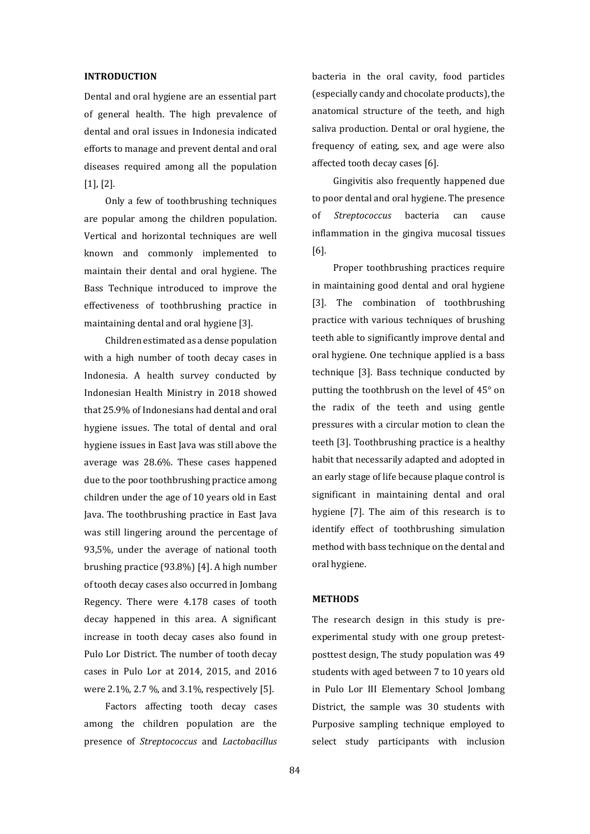### **INTRODUCTION**

Dental and oral hygiene are an essential part of general health. The high prevalence of dental and oral issues in Indonesia indicated efforts to manage and prevent dental and oral diseases required among all the population [1], [2].

Only a few of toothbrushing techniques are popular among the children population. Vertical and horizontal techniques are well known and commonly implemented to maintain their dental and oral hygiene. The Bass Technique introduced to improve the effectiveness of toothbrushing practice in maintaining dental and oral hygiene [3].

Children estimated as a dense population with a high number of tooth decay cases in Indonesia. A health survey conducted by Indonesian Health Ministry in 2018 showed that 25.9% of Indonesians had dental and oral hygiene issues. The total of dental and oral hygiene issues in East Java was still above the average was 28.6%. These cases happened due to the poor toothbrushing practice among children under the age of 10 years old in East Java. The toothbrushing practice in East Java was still lingering around the percentage of 93,5%, under the average of national tooth brushing practice (93.8%) [4]. A high number of tooth decay cases also occurred in Jombang Regency. There were 4.178 cases of tooth decay happened in this area. A significant increase in tooth decay cases also found in Pulo Lor District. The number of tooth decay cases in Pulo Lor at 2014, 2015, and 2016 were 2.1%, 2.7 %, and 3.1%, respectively [5].

Factors affecting tooth decay cases among the children population are the presence of *Streptococcus* and *Lactobacillus*  bacteria in the oral cavity, food particles (especially candy and chocolate products), the anatomical structure of the teeth, and high saliva production. Dental or oral hygiene, the frequency of eating, sex, and age were also affected tooth decay cases [6].

Gingivitis also frequently happened due to poor dental and oral hygiene. The presence of *Streptococcus* bacteria can cause inflammation in the gingiva mucosal tissues [6].

Proper toothbrushing practices require in maintaining good dental and oral hygiene [3]. The combination of toothbrushing practice with various techniques of brushing teeth able to significantly improve dental and oral hygiene. One technique applied is a bass technique [3]. Bass technique conducted by putting the toothbrush on the level of 45° on the radix of the teeth and using gentle pressures with a circular motion to clean the teeth [3]. Toothbrushing practice is a healthy habit that necessarily adapted and adopted in an early stage of life because plaque control is significant in maintaining dental and oral hygiene [7]. The aim of this research is to identify effect of toothbrushing simulation method with bass technique on the dental and oral hygiene.

#### **METHODS**

The research design in this study is preexperimental study with one group pretestposttest design, The study population was 49 students with aged between 7 to 10 years old in Pulo Lor III Elementary School Jombang District, the sample was 30 students with Purposive sampling technique employed to select study participants with inclusion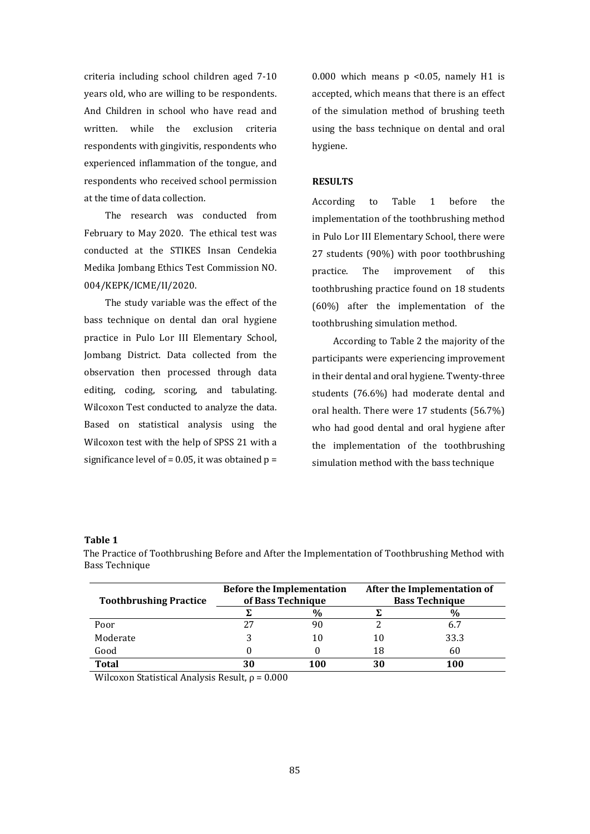criteria including school children aged 7-10 years old, who are willing to be respondents. And Children in school who have read and written. while the exclusion criteria respondents with gingivitis, respondents who experienced inflammation of the tongue, and respondents who received school permission at the time of data collection.

The research was conducted from February to May 2020. The ethical test was conducted at the STIKES Insan Cendekia Medika Jombang Ethics Test Commission NO. 004/KEPK/ICME/II/2020.

The study variable was the effect of the bass technique on dental dan oral hygiene practice in Pulo Lor III Elementary School, Jombang District. Data collected from the observation then processed through data editing, coding, scoring, and tabulating. Wilcoxon Test conducted to analyze the data. Based on statistical analysis using the Wilcoxon test with the help of SPSS 21 with a significance level of =  $0.05$ , it was obtained p =

0.000 which means p <0.05, namely H1 is accepted, which means that there is an effect of the simulation method of brushing teeth using the bass technique on dental and oral hygiene.

# **RESULTS**

According to Table 1 before the implementation of the toothbrushing method in Pulo Lor III Elementary School, there were 27 students (90%) with poor toothbrushing practice. The improvement of this toothbrushing practice found on 18 students (60%) after the implementation of the toothbrushing simulation method.

According to Table 2 the majority of the participants were experiencing improvement in their dental and oral hygiene. Twenty-three students (76.6%) had moderate dental and oral health. There were 17 students (56.7%) who had good dental and oral hygiene after the implementation of the toothbrushing simulation method with the bass technique

### **Table 1**

| <b>Toothbrushing Practice</b> | <b>Before the Implementation</b><br>of Bass Technique |               | After the Implementation of<br><b>Bass Technique</b> |      |
|-------------------------------|-------------------------------------------------------|---------------|------------------------------------------------------|------|
|                               |                                                       | $\frac{0}{0}$ |                                                      | %    |
| Poor                          | 27                                                    | 90            |                                                      |      |
| Moderate                      |                                                       | 10            | 10                                                   | 33.3 |
| Good                          |                                                       |               | 18                                                   | 60   |
| <b>Total</b>                  | 30                                                    | 100           | 30                                                   | 100  |

The Practice of Toothbrushing Before and After the Implementation of Toothbrushing Method with Bass Technique

Wilcoxon Statistical Analysis Result,  $\rho = 0.000$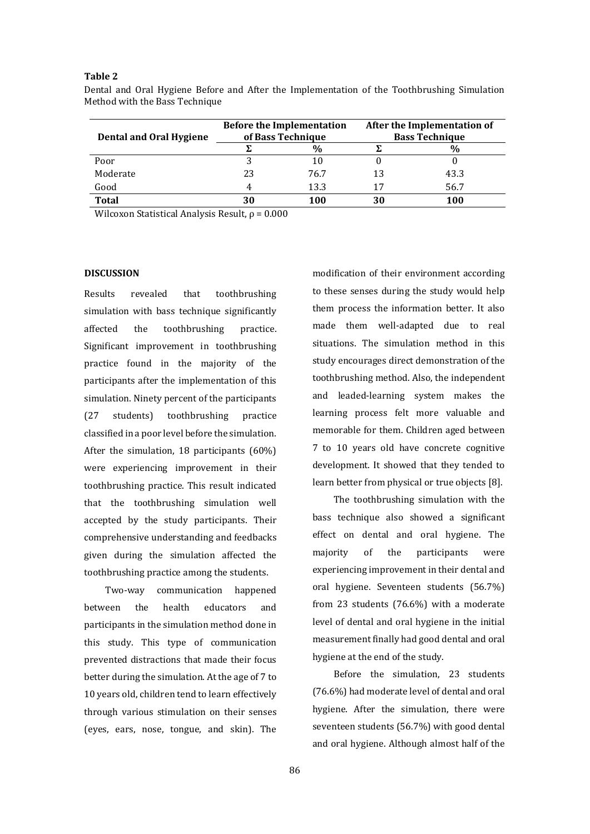# **Table 2**

| <b>Dental and Oral Hygiene</b> | <b>Before the Implementation</b><br>of Bass Technique |               | After the Implementation of<br><b>Bass Technique</b> |      |
|--------------------------------|-------------------------------------------------------|---------------|------------------------------------------------------|------|
|                                |                                                       | $\frac{0}{0}$ |                                                      |      |
| Poor                           |                                                       | 10            |                                                      |      |
| Moderate                       | 23                                                    | 76.7          | 13                                                   | 43.3 |
| Good                           | 4                                                     | 13.3          | 17                                                   | 56.7 |
| <b>Total</b>                   | 30                                                    | 100           | 30                                                   | 100  |

Dental and Oral Hygiene Before and After the Implementation of the Toothbrushing Simulation Method with the Bass Technique

Wilcoxon Statistical Analysis Result,  $\rho = 0.000$ 

#### **DISCUSSION**

Results revealed that toothbrushing simulation with bass technique significantly affected the toothbrushing practice. Significant improvement in toothbrushing practice found in the majority of the participants after the implementation of this simulation. Ninety percent of the participants (27 students) toothbrushing practice classified in a poor level before the simulation. After the simulation, 18 participants (60%) were experiencing improvement in their toothbrushing practice. This result indicated that the toothbrushing simulation well accepted by the study participants. Their comprehensive understanding and feedbacks given during the simulation affected the toothbrushing practice among the students.

Two-way communication happened between the health educators and participants in the simulation method done in this study. This type of communication prevented distractions that made their focus better during the simulation. At the age of 7 to 10 years old, children tend to learn effectively through various stimulation on their senses (eyes, ears, nose, tongue, and skin). The

modification of their environment according to these senses during the study would help them process the information better. It also made them well-adapted due to real situations. The simulation method in this study encourages direct demonstration of the toothbrushing method. Also, the independent and leaded-learning system makes the learning process felt more valuable and memorable for them. Children aged between 7 to 10 years old have concrete cognitive development. It showed that they tended to learn better from physical or true objects [8].

The toothbrushing simulation with the bass technique also showed a significant effect on dental and oral hygiene. The majority of the participants were experiencing improvement in their dental and oral hygiene. Seventeen students (56.7%) from 23 students (76.6%) with a moderate level of dental and oral hygiene in the initial measurement finally had good dental and oral hygiene at the end of the study.

Before the simulation, 23 students (76.6%) had moderate level of dental and oral hygiene. After the simulation, there were seventeen students (56.7%) with good dental and oral hygiene. Although almost half of the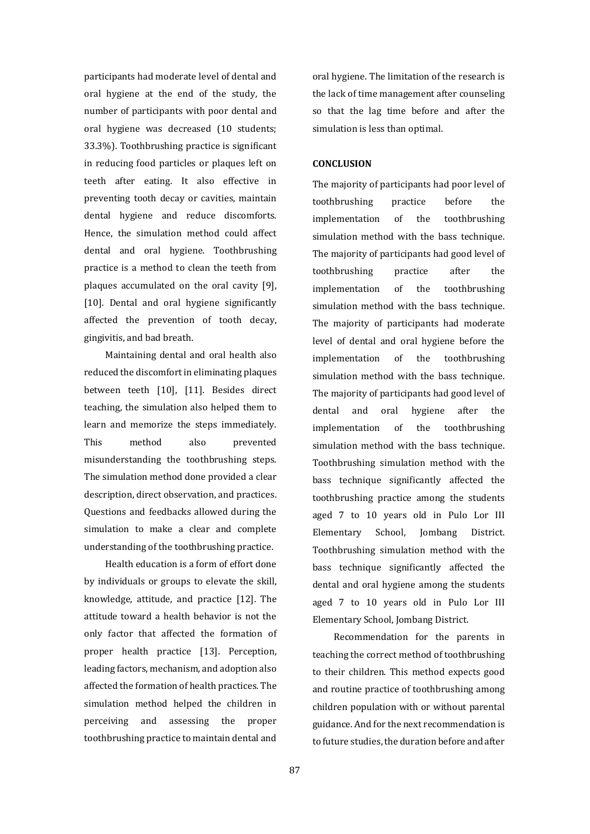participants had moderate level of dental and oral hygiene at the end of the study, the number of participants with poor dental and oral hygiene was decreased (10 students; 33.3%). Toothbrushing practice is significant in reducing food particles or plaques left on teeth after eating. It also effective in preventing tooth decay or cavities, maintain dental hygiene and reduce discomforts. Hence, the simulation method could affect dental and oral hygiene. Toothbrushing practice is a method to clean the teeth from plaques accumulated on the oral cavity [9], [10]. Dental and oral hygiene significantly affected the prevention of tooth decay, gingivitis, and bad breath.

Maintaining dental and oral health also reduced the discomfort in eliminating plaques between teeth [10], [11]. Besides direct teaching, the simulation also helped them to learn and memorize the steps immediately. This method also prevented misunderstanding the toothbrushing steps. The simulation method done provided a clear description, direct observation, and practices. Questions and feedbacks allowed during the simulation to make a clear and complete understanding of the toothbrushing practice.

Health education is a form of effort done by individuals or groups to elevate the skill, knowledge, attitude, and practice [12]. The attitude toward a health behavior is not the only factor that affected the formation of proper health practice [13]. Perception, leading factors, mechanism, and adoption also affected the formation of health practices. The simulation method helped the children in perceiving and assessing the proper toothbrushing practice to maintain dental and

oral hygiene. The limitation of the research is the lack of time management after counseling so that the lag time before and after the simulation is less than optimal.

#### **CONCLUSION**

The majority of participants had poor level of toothbrushing practice before the implementation of the toothbrushing simulation method with the bass technique. The majority of participants had good level of toothbrushing practice after the implementation of the toothbrushing simulation method with the bass technique. The majority of participants had moderate level of dental and oral hygiene before the implementation of the toothbrushing simulation method with the bass technique. The majority of participants had good level of dental and oral hygiene after the implementation of the toothbrushing simulation method with the bass technique. Toothbrushing simulation method with the bass technique significantly affected the toothbrushing practice among the students aged 7 to 10 years old in Pulo Lor III Elementary School, Jombang District. Toothbrushing simulation method with the bass technique significantly affected the dental and oral hygiene among the students aged 7 to 10 years old in Pulo Lor III Elementary School, Jombang District.

Recommendation for the parents in teaching the correct method of toothbrushing to their children. This method expects good and routine practice of toothbrushing among children population with or without parental guidance. And for the next recommendation is to future studies, the duration before and after